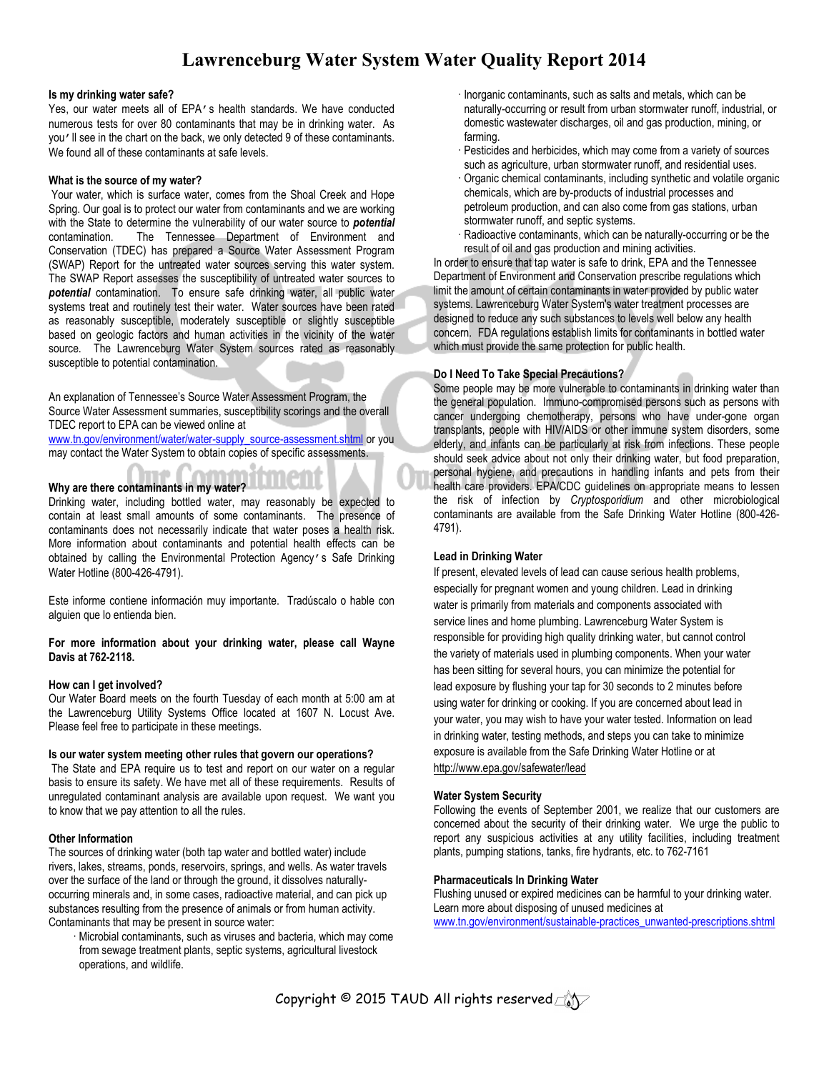## **Lawrenceburg Water System Water Quality Report 2014**

#### **Is my drinking water safe?**

Yes, our water meets all of EPA's health standards. We have conducted numerous tests for over 80 contaminants that may be in drinking water. As you'll see in the chart on the back, we only detected 9 of these contaminants. We found all of these contaminants at safe levels.

#### **What is the source of my water?**

 Your water, which is surface water, comes from the Shoal Creek and Hope Spring. Our goal is to protect our water from contaminants and we are working with the State to determine the vulnerability of our water source to **potential**<br>contamination. The Tennessee Department of Environment and The Tennessee Department of Environment and Conservation (TDEC) has prepared a Source Water Assessment Program (SWAP) Report for the untreated water sources serving this water system. The SWAP Report assesses the susceptibility of untreated water sources to *potential* contamination. To ensure safe drinking water, all public water systems treat and routinely test their water. Water sources have been rated as reasonably susceptible, moderately susceptible or slightly susceptible based on geologic factors and human activities in the vicinity of the water source. The Lawrenceburg Water System sources rated as reasonably susceptible to potential contamination.

An explanation of Tennessee's Source Water Assessment Program, the Source Water Assessment summaries, susceptibility scorings and the overall TDEC report to EPA can be viewed online at

www.tn.gov/environment/water/water-supply\_source-assessment.shtml or you may contact the Water System to obtain copies of specific assessments.

#### **Why are there contaminants in my water?**

Drinking water, including bottled water, may reasonably be expected to contain at least small amounts of some contaminants. The presence of contaminants does not necessarily indicate that water poses a health risk. More information about contaminants and potential health effects can be obtained by calling the Environmental Protection Agency's Safe Drinking Water Hotline (800-426-4791).

Este informe contiene información muy importante. Tradúscalo o hable con alguien que lo entienda bien.

#### **For more information about your drinking water, please call Wayne Davis at 762-2118.**

#### **How can I get involved?**

Our Water Board meets on the fourth Tuesday of each month at 5:00 am at the Lawrenceburg Utility Systems Office located at 1607 N. Locust Ave. Please feel free to participate in these meetings.

#### **Is our water system meeting other rules that govern our operations?**

 The State and EPA require us to test and report on our water on a regular basis to ensure its safety. We have met all of these requirements. Results of unregulated contaminant analysis are available upon request. We want you to know that we pay attention to all the rules.

#### **Other Information**

The sources of drinking water (both tap water and bottled water) include rivers, lakes, streams, ponds, reservoirs, springs, and wells. As water travels over the surface of the land or through the ground, it dissolves naturallyoccurring minerals and, in some cases, radioactive material, and can pick up substances resulting from the presence of animals or from human activity. Contaminants that may be present in source water:

 Microbial contaminants, such as viruses and bacteria, which may come from sewage treatment plants, septic systems, agricultural livestock operations, and wildlife.

- Inorganic contaminants, such as salts and metals, which can be naturally-occurring or result from urban stormwater runoff, industrial, or domestic wastewater discharges, oil and gas production, mining, or farming.
- Pesticides and herbicides, which may come from a variety of sources such as agriculture, urban stormwater runoff, and residential uses.
- Organic chemical contaminants, including synthetic and volatile organic chemicals, which are by-products of industrial processes and petroleum production, and can also come from gas stations, urban stormwater runoff, and septic systems.
- Radioactive contaminants, which can be naturally-occurring or be the result of oil and gas production and mining activities.

In order to ensure that tap water is safe to drink, EPA and the Tennessee Department of Environment and Conservation prescribe regulations which limit the amount of certain contaminants in water provided by public water systems. Lawrenceburg Water System's water treatment processes are designed to reduce any such substances to levels well below any health concern. FDA regulations establish limits for contaminants in bottled water which must provide the same protection for public health.

#### **Do I Need To Take Special Precautions?**

Some people may be more vulnerable to contaminants in drinking water than the general population. Immuno-compromised persons such as persons with cancer undergoing chemotherapy, persons who have under-gone organ transplants, people with HIV/AIDS or other immune system disorders, some elderly, and infants can be particularly at risk from infections. These people should seek advice about not only their drinking water, but food preparation, personal hygiene, and precautions in handling infants and pets from their health care providers. EPA/CDC guidelines on appropriate means to lessen the risk of infection by *Cryptosporidium* and other microbiological contaminants are available from the Safe Drinking Water Hotline (800-426- 4791).

#### **Lead in Drinking Water**

If present, elevated levels of lead can cause serious health problems, especially for pregnant women and young children. Lead in drinking water is primarily from materials and components associated with service lines and home plumbing. Lawrenceburg Water System is responsible for providing high quality drinking water, but cannot control the variety of materials used in plumbing components. When your water has been sitting for several hours, you can minimize the potential for lead exposure by flushing your tap for 30 seconds to 2 minutes before using water for drinking or cooking. If you are concerned about lead in your water, you may wish to have your water tested. Information on lead in drinking water, testing methods, and steps you can take to minimize exposure is available from the Safe Drinking Water Hotline or at http://www.epa.gov/safewater/lead

#### **Water System Security**

Following the events of September 2001, we realize that our customers are concerned about the security of their drinking water. We urge the public to report any suspicious activities at any utility facilities, including treatment plants, pumping stations, tanks, fire hydrants, etc. to 762-7161

#### **Pharmaceuticals In Drinking Water**

Flushing unused or expired medicines can be harmful to your drinking water. Learn more about disposing of unused medicines at www.tn.gov/environment/sustainable-practices\_unwanted-prescriptions.shtml